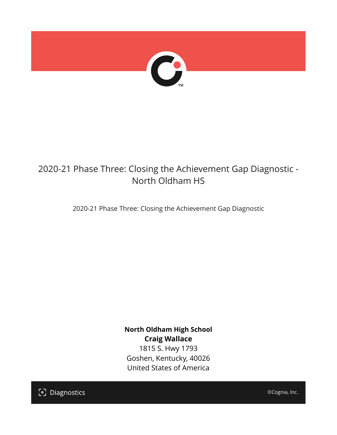

# 2020-21 Phase Three: Closing the Achievement Gap Diagnostic - North Oldham HS

2020-21 Phase Three: Closing the Achievement Gap Diagnostic

**North Oldham High School Craig Wallace** 1815 S. Hwy 1793 Goshen, Kentucky, 40026 United States of America

[၁] Diagnostics

©Cognia, Inc.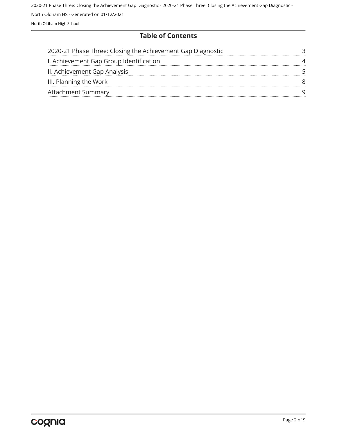## **Table of Contents**

| 2020-21 Phase Three: Closing the Achievement Gap Diagnostic |  |
|-------------------------------------------------------------|--|
| I. Achievement Gap Group Identification                     |  |
| II. Achievement Gap Analysis                                |  |
| III. Planning the Work                                      |  |
| <b>Attachment Summary</b>                                   |  |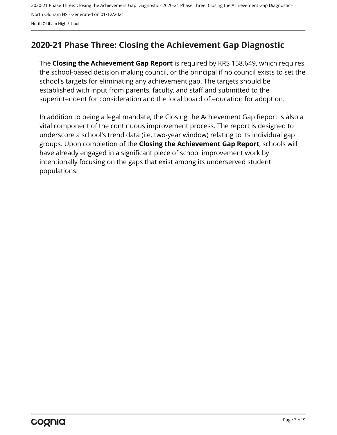# <span id="page-2-0"></span>**2020-21 Phase Three: Closing the Achievement Gap Diagnostic**

The **Closing the Achievement Gap Report** is required by KRS 158.649, which requires the school-based decision making council, or the principal if no council exists to set the school's targets for eliminating any achievement gap. The targets should be established with input from parents, faculty, and staff and submitted to the superintendent for consideration and the local board of education for adoption.

In addition to being a legal mandate, the Closing the Achievement Gap Report is also a vital component of the continuous improvement process. The report is designed to underscore a school's trend data (i.e. two-year window) relating to its individual gap groups. Upon completion of the **Closing the Achievement Gap Report**, schools will have already engaged in a significant piece of school improvement work by intentionally focusing on the gaps that exist among its underserved student populations.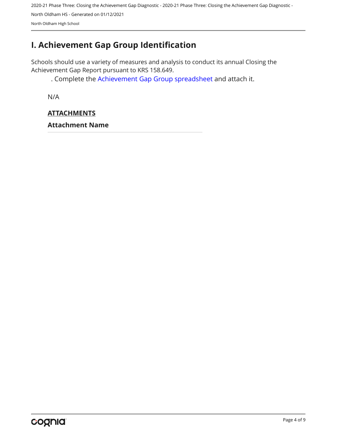# <span id="page-3-0"></span>**I. Achievement Gap Group Identification**

Schools should use a variety of measures and analysis to conduct its annual Closing the Achievement Gap Report pursuant to KRS 158.649.

. Complete the [Achievement Gap Group spreadsheet a](https://drive.google.com/file/d/0B7A6n8V1dmUOWFNKY2dSTTFibjA/view?usp=sharing)nd attach it.

N/A

## **ATTACHMENTS**

**Attachment Name**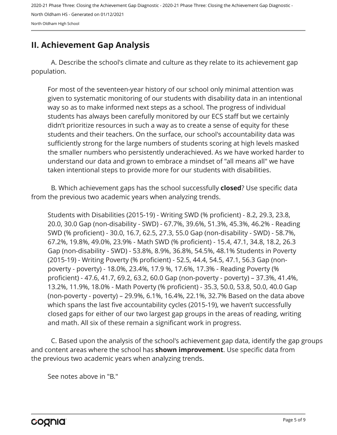# <span id="page-4-0"></span>**II. Achievement Gap Analysis**

A. Describe the school's climate and culture as they relate to its achievement gap population.

For most of the seventeen-year history of our school only minimal attention was given to systematic monitoring of our students with disability data in an intentional way so as to make informed next steps as a school. The progress of individual students has always been carefully monitored by our ECS staff but we certainly didn't prioritize resources in such a way as to create a sense of equity for these students and their teachers. On the surface, our school's accountability data was sufficiently strong for the large numbers of students scoring at high levels masked the smaller numbers who persistently underachieved. As we have worked harder to understand our data and grown to embrace a mindset of "all means all" we have taken intentional steps to provide more for our students with disabilities.

B. Which achievement gaps has the school successfully **closed**? Use specific data from the previous two academic years when analyzing trends.

Students with Disabilities (2015-19) - Writing SWD (% proficient) - 8.2, 29.3, 23.8, 20.0, 30.0 Gap (non-disability - SWD) - 67.7%, 39.6%, 51.3%, 45.3%, 46.2% - Reading SWD (% proficient) - 30.0, 16.7, 62.5, 27.3, 55.0 Gap (non-disability - SWD) - 58.7%, 67.2%, 19.8%, 49.0%, 23.9% - Math SWD (% proficient) - 15.4, 47.1, 34.8, 18.2, 26.3 Gap (non-disability - SWD) - 53.8%, 8.9%, 36.8%, 54.5%, 48.1% Students in Poverty (2015-19) - Writing Poverty (% proficient) - 52.5, 44.4, 54.5, 47.1, 56.3 Gap (nonpoverty - poverty) - 18.0%, 23.4%, 17.9 %, 17.6%, 17.3% - Reading Poverty (% proficient) - 47.6, 41.7, 69.2, 63.2, 60.0 Gap (non-poverty - poverty) – 37.3%, 41.4%, 13.2%, 11.9%, 18.0% - Math Poverty (% proficient) - 35.3, 50.0, 53.8, 50.0, 40.0 Gap (non-poverty - poverty) – 29.9%, 6.1%, 16.4%, 22.1%, 32.7% Based on the data above which spans the last five accountability cycles (2015-19), we haven't successfully closed gaps for either of our two largest gap groups in the areas of reading, writing and math. All six of these remain a significant work in progress.

C. Based upon the analysis of the school's achievement gap data, identify the gap groups and content areas where the school has **shown improvement**. Use specific data from the previous two academic years when analyzing trends.

See notes above in "B."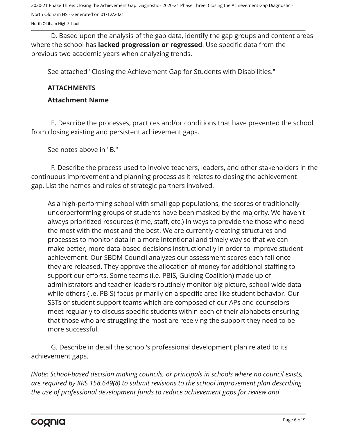North Oldham High School

D. Based upon the analysis of the gap data, identify the gap groups and content areas where the school has **lacked progression or regressed**. Use specific data from the previous two academic years when analyzing trends.

See attached "Closing the Achievement Gap for Students with Disabilities."

#### **ATTACHMENTS**

#### **Attachment Name**

E. Describe the processes, practices and/or conditions that have prevented the school from closing existing and persistent achievement gaps.

See notes above in "B."

F. Describe the process used to involve teachers, leaders, and other stakeholders in the continuous improvement and planning process as it relates to closing the achievement gap. List the names and roles of strategic partners involved.

As a high-performing school with small gap populations, the scores of traditionally underperforming groups of students have been masked by the majority. We haven't always prioritized resources (time, staff, etc.) in ways to provide the those who need the most with the most and the best. We are currently creating structures and processes to monitor data in a more intentional and timely way so that we can make better, more data-based decisions instructionally in order to improve student achievement. Our SBDM Council analyzes our assessment scores each fall once they are released. They approve the allocation of money for additional staffing to support our efforts. Some teams (i.e. PBIS, Guiding Coalition) made up of administrators and teacher-leaders routinely monitor big picture, school-wide data while others (i.e. PBIS) focus primarily on a specific area like student behavior. Our SSTs or student support teams which are composed of our APs and counselors meet regularly to discuss specific students within each of their alphabets ensuring that those who are struggling the most are receiving the support they need to be more successful.

G. Describe in detail the school's professional development plan related to its achievement gaps.

*(Note: School-based decision making councils, or principals in schools where no council exists, are required by KRS 158.649(8) to submit revisions to the school improvement plan describing the use of professional development funds to reduce achievement gaps for review and*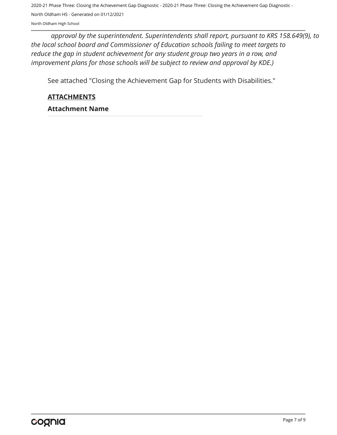*approval by the superintendent. Superintendents shall report, pursuant to KRS 158.649(9), to the local school board and Commissioner of Education schools failing to meet targets to reduce the gap in student achievement for any student group two years in a row, and improvement plans for those schools will be subject to review and approval by KDE.)* 

See attached "Closing the Achievement Gap for Students with Disabilities."

**ATTACHMENTS**

**Attachment Name**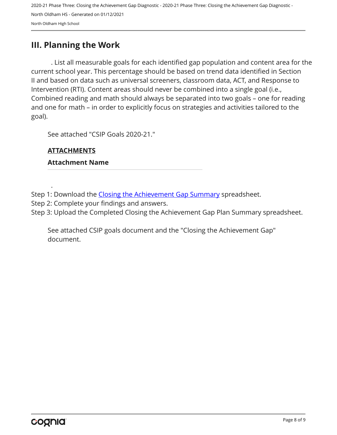## <span id="page-7-0"></span>**III. Planning the Work**

. List all measurable goals for each identified gap population and content area for the current school year. This percentage should be based on trend data identified in Section II and based on data such as universal screeners, classroom data, ACT, and Response to Intervention (RTI). Content areas should never be combined into a single goal (i.e., Combined reading and math should always be separated into two goals – one for reading and one for math – in order to explicitly focus on strategies and activities tailored to the goal).

See attached "CSIP Goals 2020-21."

## **ATTACHMENTS**

.

### **Attachment Name**

Step 1: Download the [Closing the Achievement Gap Summary](https://drive.google.com/file/d/0B6i22i6omk4ySmUtTHZuSVRFazQ/view) spreadsheet.

Step 2: Complete your findings and answers.

Step 3: Upload the Completed Closing the Achievement Gap Plan Summary spreadsheet.

See attached CSIP goals document and the "Closing the Achievement Gap" document.